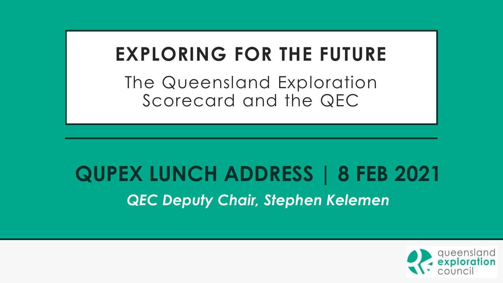## **EXPLORING FOR THE FUTURE**

The Queensland Exploration Scorecard and the QEC

# **QUPEX LUNCH ADDRESS | 8 FEB 2021** *QEC Deputy Chair, Stephen Kelemen*

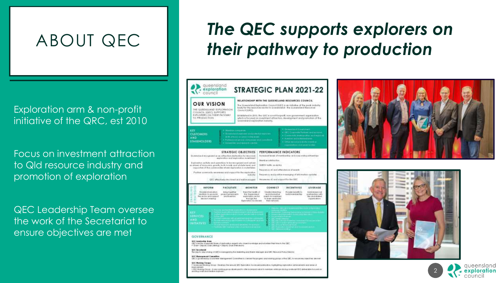### ABOUT QEC

Exploration arm & non-profit initiative of the QRC, est 2010

Focus on investment attraction to Qld resource industry and promotion of exploration

QEC Leadership Team oversee the work of the Secretariat to ensure objectives are met

## *The QEC supports explorers on their pathway to production*



GEC islaciós o specialit leurs el aplication arperis una share travalada and valuntes their hine to ha GEC.<br>• Chair - Deputy Chair (Whing) • Deputy Chair (Petroleum).

**GEC Secretarial** For district sites nowing at OBCN memorant by the Maketing and Events Manager and OBC Resource Pulsay Deads

#### **ITC Benegravent Consultor**

AC is governed by anotatest idshapement Contribue to custom the progress and volking gloops of the GEC. In entry telepothectives are not

Soletoons Working Group - Develops the graval GEC Exploration Scottcoat publication in pritariant contemporary and areas of **WICKS-MESSES** 650 Moldang Group - A new working group developed to other increased value to members while points by preducing condested BTD definerable fisioned, or

finds avoid print result are world.





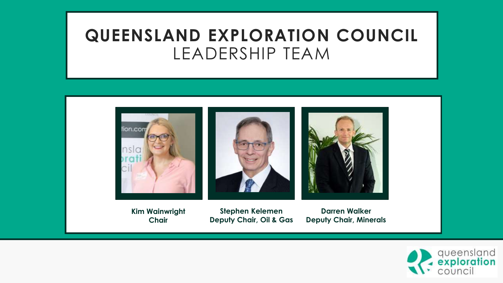## **QUEENSLAND EXPLORATION COUNCIL** LEADERSHIP TEAM



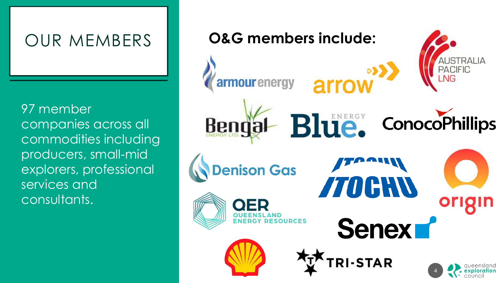## OUR MEMBERS

97 member companies across all commodities including producers, small-mid explorers, professional services and consultants.

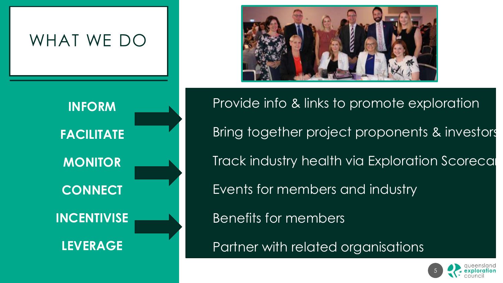



Provide info & links to promote exploration Bring together project proponents & investors Track industry health via Exploration Scorecal Events for members and industry

Benefits for members

Partner with related organisations

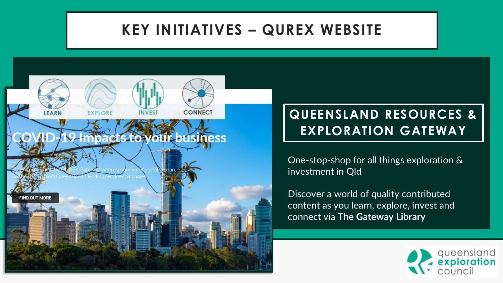#### **KEY INITIATIVES – QUREX WEBSITE**



#### **QUEENSLAND RESOURCES & EXPLORATION GATEWAY**

One-stop-shop for all things exploration & investment in Qld

Discover a world of quality contributed content as you learn, explore, invest and connect via **The Gateway Library**

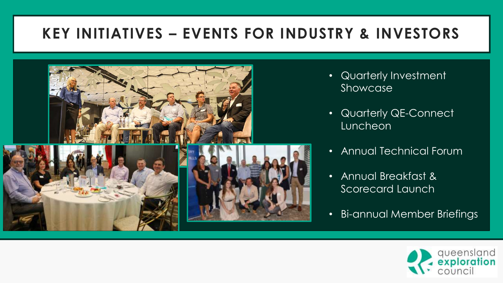### **KEY INITIATIVES – EVENTS FOR INDUSTRY & INVESTORS**



- Quarterly Investment Showcase
- Quarterly QE-Connect Luncheon
- Annual Technical Forum
- Annual Breakfast & Scorecard Launch
- Bi-annual Member Briefings

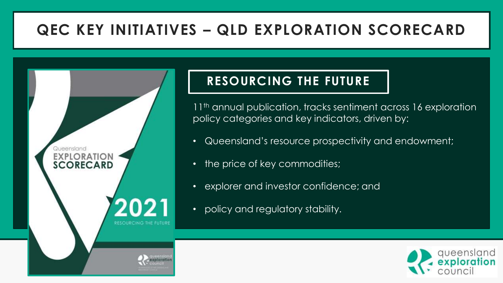### **QEC KEY INITIATIVES – QLD EXPLORATION SCORECARD**



#### **RESOURCING THE FUTURE**

11<sup>th</sup> annual publication, tracks sentiment across 16 exploration policy categories and key indicators, driven by:

- Queensland's resource prospectivity and endowment;
- the price of key commodities;
- explorer and investor confidence; and
- policy and regulatory stability.

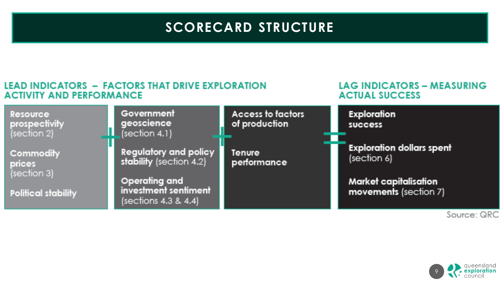#### **SCORECARD STRUCTURE**

#### **LEAD INDICATORS - FACTORS THAT DRIVE EXPLORATION ACTIVITY AND PERFORMANCE**

#### **LAG INDICATORS - MEASURING ACTUAL SUCCESS**



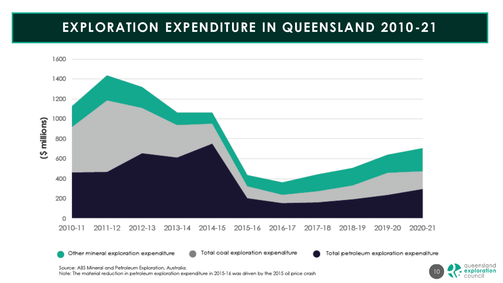#### **EXPLORATION EXPENDITURE IN QUEENSLAND 2010-21**



Source: ABS Mineral and Petroleum Exploration, Australia.

Note: The material reduction in petroleum exploration expenditure in 2015-16 was driven by the 2015 oil price crash

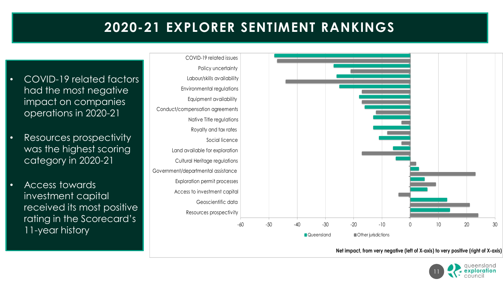#### **2020-21 EXPLORER SENTIMENT RANKINGS**

COVID-19 related issues Policy uncertainty • COVID-19 related factors Labour/skills availability had the most negative Environmental regulations Equipment availability impact on companies Conduct/compensation agreements operations in 2020-21 Native Title regulations Royalty and tax rates • Resources prospectivity Social licence was the highest scoring Land available for exploration category in 2020-21 Cultural Heritage regulations Government/departmental assistance Exploration permit processes • Access towards Access to investment capital investment capital Geoscientific data received its most positive Resources prospectivity rating in the Scorecard's  $-60$  $-50$  $-40$  $-30$  $-20$  $-10$  $10$ 20 30 11-year history Queensland **Communist Communist Communist Communist Communist Communist Communist Communist Communist Communist Communist Communist Communist Communist Communist Communist Communist Communist Communist Communist Communist** 

Net impact, from very negative (left of X-axis) to very positive (right of X-axis)

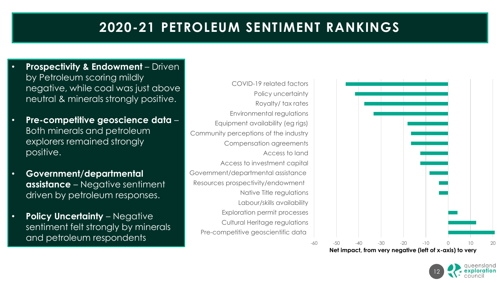#### **2020-21 PETROLEUM SENTIMENT RANKINGS**

- **Prospectivity & Endowment**  Driven by Petroleum scoring mildly negative, while coal was just above neutral & minerals strongly positive.
- **Pre-competitive geoscience data**  Both minerals and petroleum explorers remained strongly positive.
- **Government/departmental assistance** – Negative sentiment driven by petroleum responses.
- **Policy Uncertainty** Negative sentiment felt strongly by minerals and petroleum respondents
- Pre-competitive geoscientific data Cultural Heritage regulations Exploration permit processes Labour/skills availability Native Title regulations Resources prospectivity/endowment Government/departmental assistance Access to investment capital Access to land Compensation agreements Community perceptions of the industry Equipment availability (eg rigs) Environmental regulations Royalty/ tax rates Policy uncertainty COVID-19 related factors



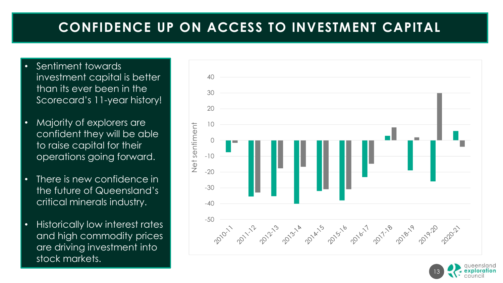#### **CONFIDENCE UP ON ACCESS TO INVESTMENT CAPITAL**

- Sentiment towards investment capital is better than its ever been in the Scorecard's 11-year history!
- Majority of explorers are confident they will be able to raise capital for their operations going forward.
- There is new confidence in the future of Queensland's critical minerals industry.
- Historically low interest rates and high commodity prices are driving investment into stock markets.



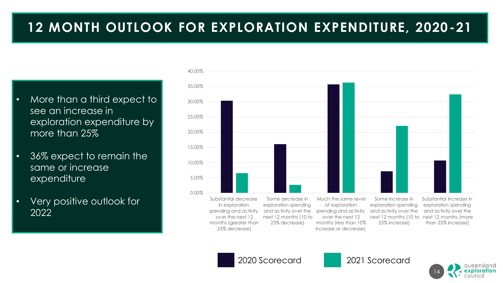#### **12 MONTH OUTLOOK FOR EXPLORATION EXPENDITURE, 2020-21**

- More than a third expect to see an increase in exploration expenditure by more than 25%
- 36% expect to remain the same or increase expenditure
- Very positive outlook for 2022





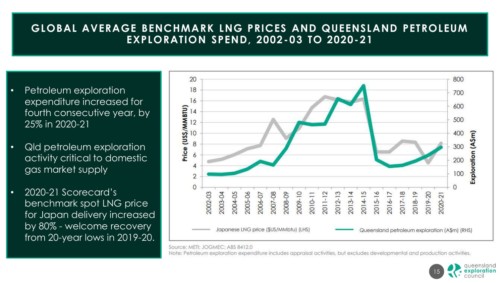#### **GLOBAL AVERAGE BENCHMARK LNG PRICES AND QUEENSLAND PETROLEUM EXPLORATION SPEND, 2002-03 TO 2020-21**

- Petroleum exploration expenditure increased for fourth consecutive year, by 25% in 2020-21
- Qld petroleum exploration activity critical to domestic gas market supply
- 2020-21 Scorecard's benchmark spot LNG price for Japan delivery increased by 80% - welcome recovery from 20-year lows in 2019-20.



Source: METI: JOGMEC: ABS 8412.0

Note: Petroleum exploration expenditure includes appraisal activities, but excludes developmental and production activities,